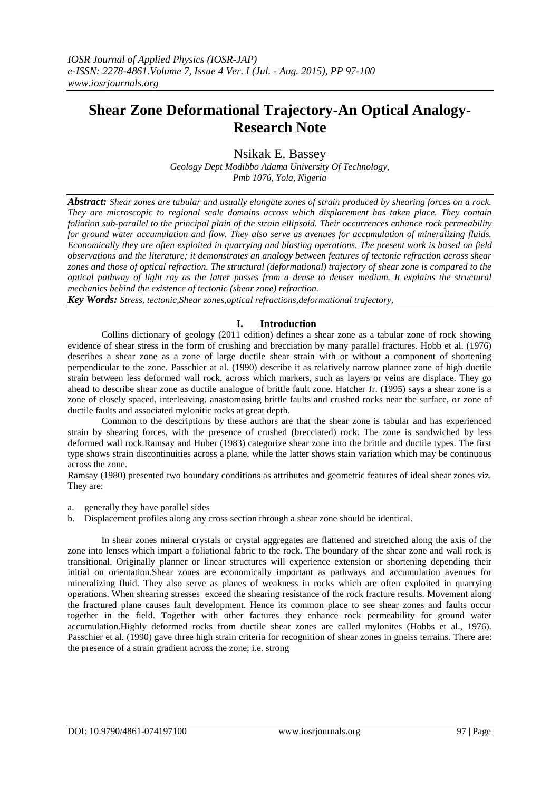## **Shear Zone Deformational Trajectory-An Optical Analogy-Research Note**

Nsikak E. Bassey

*Geology Dept Modibbo Adama University Of Technology, Pmb 1076, Yola, Nigeria*

*Abstract: Shear zones are tabular and usually elongate zones of strain produced by shearing forces on a rock. They are microscopic to regional scale domains across which displacement has taken place. They contain foliation sub-parallel to the principal plain of the strain ellipsoid. Their occurrences enhance rock permeability for ground water accumulation and flow. They also serve as avenues for accumulation of mineralizing fluids. Economically they are often exploited in quarrying and blasting operations. The present work is based on field observations and the literature; it demonstrates an analogy between features of tectonic refraction across shear zones and those of optical refraction. The structural (deformational) trajectory of shear zone is compared to the optical pathway of light ray as the latter passes from a dense to denser medium. It explains the structural mechanics behind the existence of tectonic (shear zone) refraction.*

*Key Words: Stress, tectonic,Shear zones,optical refractions,deformational trajectory,*

## **I. Introduction**

Collins dictionary of geology (2011 edition) defines a shear zone as a tabular zone of rock showing evidence of shear stress in the form of crushing and brecciation by many parallel fractures. Hobb et al. (1976) describes a shear zone as a zone of large ductile shear strain with or without a component of shortening perpendicular to the zone. Passchier at al. (1990) describe it as relatively narrow planner zone of high ductile strain between less deformed wall rock, across which markers, such as layers or veins are displace. They go ahead to describe shear zone as ductile analogue of brittle fault zone. Hatcher Jr. (1995) says a shear zone is a zone of closely spaced, interleaving, anastomosing brittle faults and crushed rocks near the surface, or zone of ductile faults and associated mylonitic rocks at great depth.

Common to the descriptions by these authors are that the shear zone is tabular and has experienced strain by shearing forces, with the presence of crushed (brecciated) rock. The zone is sandwiched by less deformed wall rock.Ramsay and Huber (1983) categorize shear zone into the brittle and ductile types. The first type shows strain discontinuities across a plane, while the latter shows stain variation which may be continuous across the zone.

Ramsay (1980) presented two boundary conditions as attributes and geometric features of ideal shear zones viz. They are:

- a. generally they have parallel sides
- b. Displacement profiles along any cross section through a shear zone should be identical.

In shear zones mineral crystals or crystal aggregates are flattened and stretched along the axis of the zone into lenses which impart a foliational fabric to the rock. The boundary of the shear zone and wall rock is transitional. Originally planner or linear structures will experience extension or shortening depending their initial on orientation.Shear zones are economically important as pathways and accumulation avenues for mineralizing fluid. They also serve as planes of weakness in rocks which are often exploited in quarrying operations. When shearing stresses exceed the shearing resistance of the rock fracture results. Movement along the fractured plane causes fault development. Hence its common place to see shear zones and faults occur together in the field. Together with other factures they enhance rock permeability for ground water accumulation.Highly deformed rocks from ductile shear zones are called mylonites (Hobbs et al., 1976). Passchier et al. (1990) gave three high strain criteria for recognition of shear zones in gneiss terrains. There are: the presence of a strain gradient across the zone; i.e. strong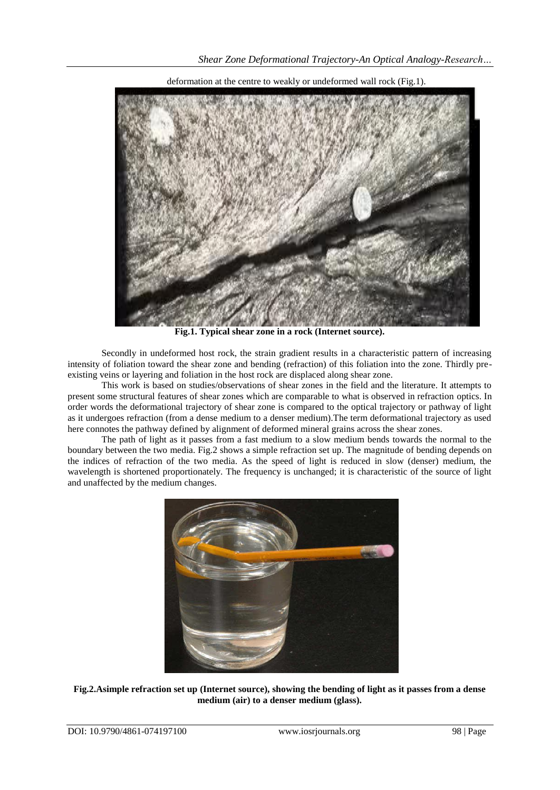

deformation at the centre to weakly or undeformed wall rock (Fig.1).

**Fig.1. Typical shear zone in a rock (Internet source).**

Secondly in undeformed host rock, the strain gradient results in a characteristic pattern of increasing intensity of foliation toward the shear zone and bending (refraction) of this foliation into the zone. Thirdly preexisting veins or layering and foliation in the host rock are displaced along shear zone.

This work is based on studies/observations of shear zones in the field and the literature. It attempts to present some structural features of shear zones which are comparable to what is observed in refraction optics. In order words the deformational trajectory of shear zone is compared to the optical trajectory or pathway of light as it undergoes refraction (from a dense medium to a denser medium).The term deformational trajectory as used here connotes the pathway defined by alignment of deformed mineral grains across the shear zones.

The path of light as it passes from a fast medium to a slow medium bends towards the normal to the boundary between the two media. Fig.2 shows a simple refraction set up. The magnitude of bending depends on the indices of refraction of the two media. As the speed of light is reduced in slow (denser) medium, the wavelength is shortened proportionately. The frequency is unchanged; it is characteristic of the source of light and unaffected by the medium changes.



**Fig.2.Asimple refraction set up (Internet source), showing the bending of light as it passes from a dense medium (air) to a denser medium (glass).**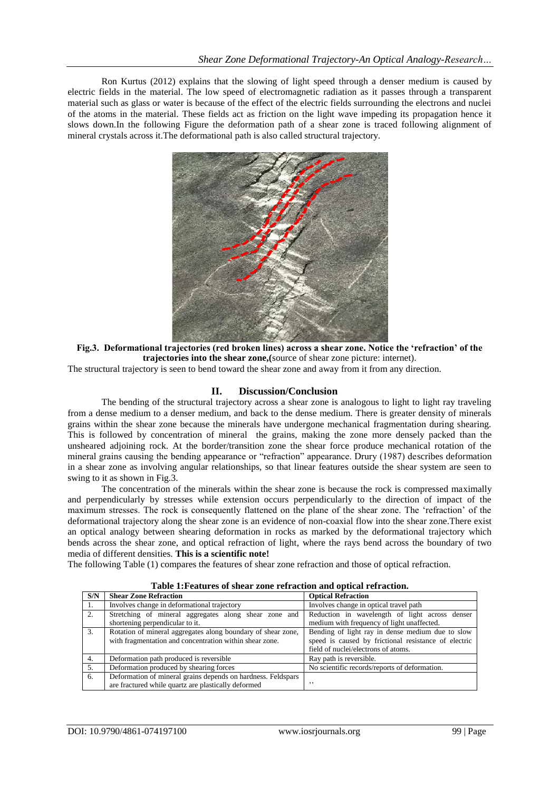Ron Kurtus (2012) explains that the slowing of light speed through a denser medium is caused by electric fields in the material. The low speed of electromagnetic radiation as it passes through a transparent material such as glass or water is because of the effect of the electric fields surrounding the electrons and nuclei of the atoms in the material. These fields act as friction on the light wave impeding its propagation hence it slows down.In the following Figure the deformation path of a shear zone is traced following alignment of mineral crystals across it.The deformational path is also called structural trajectory.



**Fig.3. Deformational trajectories (red broken lines) across a shear zone. Notice the 'refraction' of the trajectories into the shear zone,(**source of shear zone picture: internet).

The structural trajectory is seen to bend toward the shear zone and away from it from any direction.

## **II. Discussion/Conclusion**

The bending of the structural trajectory across a shear zone is analogous to light to light ray traveling from a dense medium to a denser medium, and back to the dense medium. There is greater density of minerals grains within the shear zone because the minerals have undergone mechanical fragmentation during shearing. This is followed by concentration of mineral the grains, making the zone more densely packed than the unsheared adjoining rock. At the border/transition zone the shear force produce mechanical rotation of the mineral grains causing the bending appearance or "refraction" appearance. Drury (1987) describes deformation in a shear zone as involving angular relationships, so that linear features outside the shear system are seen to swing to it as shown in Fig.3.

The concentration of the minerals within the shear zone is because the rock is compressed maximally and perpendicularly by stresses while extension occurs perpendicularly to the direction of impact of the maximum stresses. The rock is consequently flattened on the plane of the shear zone. The "refraction" of the deformational trajectory along the shear zone is an evidence of non-coaxial flow into the shear zone.There exist an optical analogy between shearing deformation in rocks as marked by the deformational trajectory which bends across the shear zone, and optical refraction of light, where the rays bend across the boundary of two media of different densities. **This is a scientific note!**

The following Table (1) compares the features of shear zone refraction and those of optical refraction.

| S/N | <b>Shear Zone Refraction</b>                                 | <b>Optical Refraction</b>                            |
|-----|--------------------------------------------------------------|------------------------------------------------------|
| 1.  | Involves change in deformational trajectory                  | Involves change in optical travel path               |
| 2.  | Stretching of mineral aggregates along shear zone and        | Reduction in wavelength of light across denser       |
|     | shortening perpendicular to it.                              | medium with frequency of light unaffected.           |
| 3.  | Rotation of mineral aggregates along boundary of shear zone, | Bending of light ray in dense medium due to slow     |
|     | with fragmentation and concentration within shear zone.      | speed is caused by frictional resistance of electric |
|     |                                                              | field of nuclei/electrons of atoms.                  |
| 4.  | Deformation path produced is reversible                      | Ray path is reversible.                              |
| 5.  | Deformation produced by shearing forces                      | No scientific records/reports of deformation.        |
| 6.  | Deformation of mineral grains depends on hardness. Feldspars |                                                      |
|     | are fractured while quartz are plastically deformed          | , ,                                                  |

**Table 1:Features of shear zone refraction and optical refraction.**